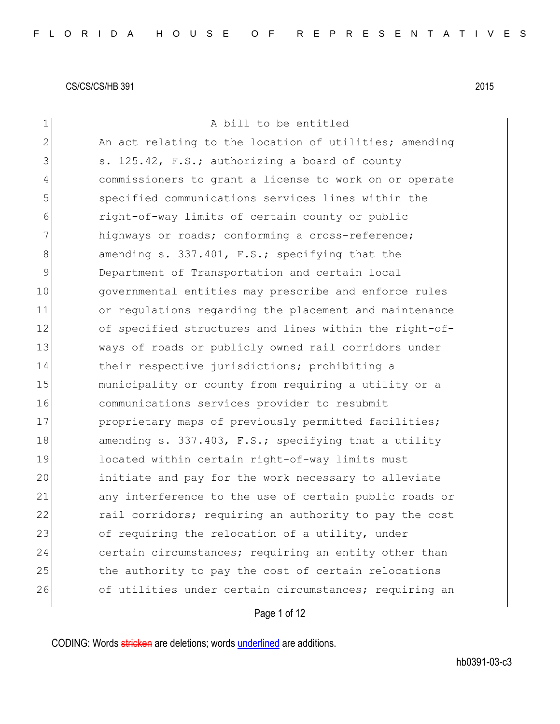| $\mathbf 1$  | A bill to be entitled                                  |
|--------------|--------------------------------------------------------|
| $\mathbf{2}$ | An act relating to the location of utilities; amending |
| 3            | s. 125.42, F.S.; authorizing a board of county         |
| 4            | commissioners to grant a license to work on or operate |
| 5            | specified communications services lines within the     |
| 6            | right-of-way limits of certain county or public        |
| 7            | highways or roads; conforming a cross-reference;       |
| 8            | amending s. 337.401, F.S.; specifying that the         |
| 9            | Department of Transportation and certain local         |
| 10           | governmental entities may prescribe and enforce rules  |
| 11           | or regulations regarding the placement and maintenance |
| 12           | of specified structures and lines within the right-of- |
| 13           | ways of roads or publicly owned rail corridors under   |
| 14           | their respective jurisdictions; prohibiting a          |
| 15           | municipality or county from requiring a utility or a   |
| 16           | communications services provider to resubmit           |
| 17           | proprietary maps of previously permitted facilities;   |
| 18           | amending s. 337.403, F.S.; specifying that a utility   |
| 19           | located within certain right-of-way limits must        |
| 20           | initiate and pay for the work necessary to alleviate   |
| 21           | any interference to the use of certain public roads or |
| 22           | rail corridors; requiring an authority to pay the cost |
| 23           | of requiring the relocation of a utility, under        |
| 24           | certain circumstances; requiring an entity other than  |
| 25           | the authority to pay the cost of certain relocations   |
| 26           | of utilities under certain circumstances; requiring an |
|              | Page 1 of 12                                           |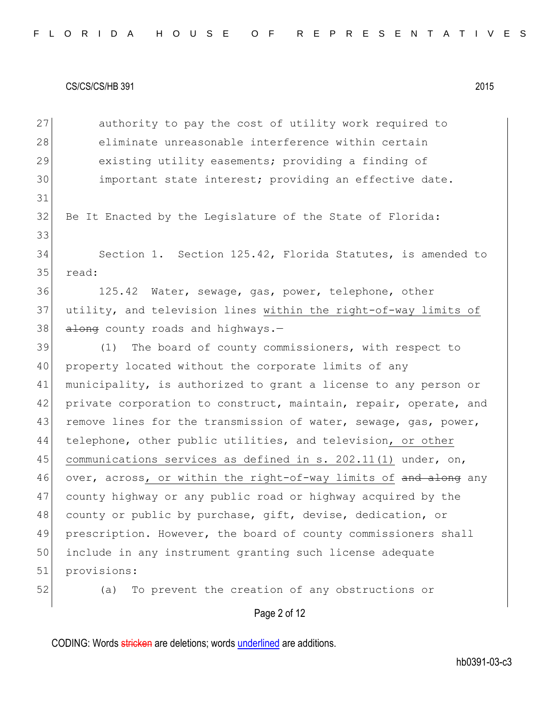| 27 | authority to pay the cost of utility work required to            |
|----|------------------------------------------------------------------|
| 28 | eliminate unreasonable interference within certain               |
| 29 | existing utility easements; providing a finding of               |
| 30 | important state interest; providing an effective date.           |
| 31 |                                                                  |
| 32 | Be It Enacted by the Legislature of the State of Florida:        |
| 33 |                                                                  |
| 34 | Section 1. Section 125.42, Florida Statutes, is amended to       |
| 35 | read:                                                            |
| 36 | 125.42 Water, sewage, gas, power, telephone, other               |
| 37 | utility, and television lines within the right-of-way limits of  |
| 38 | along county roads and highways.-                                |
| 39 | The board of county commissioners, with respect to<br>(1)        |
| 40 | property located without the corporate limits of any             |
| 41 | municipality, is authorized to grant a license to any person or  |
| 42 | private corporation to construct, maintain, repair, operate, and |
| 43 | remove lines for the transmission of water, sewage, gas, power,  |
| 44 | telephone, other public utilities, and television, or other      |
| 45 | communications services as defined in s. 202.11(1) under, on,    |
| 46 | over, across, or within the right-of-way limits of and along any |
| 47 | county highway or any public road or highway acquired by the     |
| 48 | county or public by purchase, gift, devise, dedication, or       |
| 49 | prescription. However, the board of county commissioners shall   |
| 50 | include in any instrument granting such license adequate         |
| 51 | provisions:                                                      |
| 52 | To prevent the creation of any obstructions or<br>(a)            |

Page 2 of 12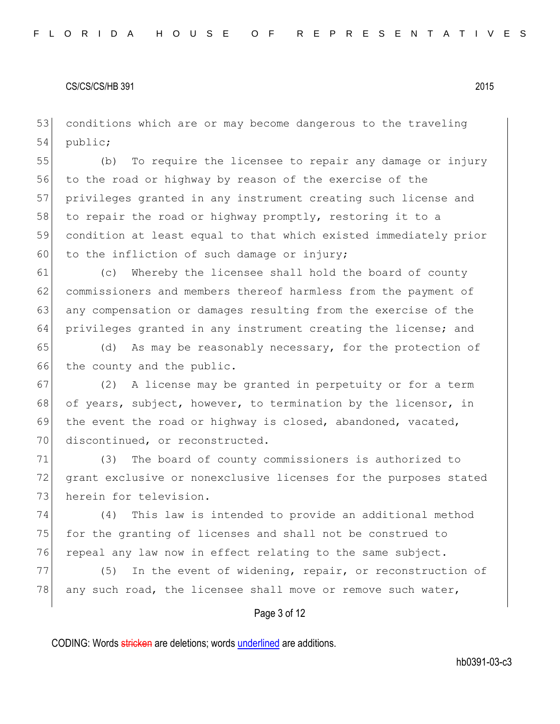53 conditions which are or may become dangerous to the traveling 54 public;

 (b) To require the licensee to repair any damage or injury to the road or highway by reason of the exercise of the privileges granted in any instrument creating such license and 58 to repair the road or highway promptly, restoring it to a condition at least equal to that which existed immediately prior 60 to the infliction of such damage or injury;

61 (c) Whereby the licensee shall hold the board of county 62 commissioners and members thereof harmless from the payment of 63 any compensation or damages resulting from the exercise of the 64 privileges granted in any instrument creating the license; and

65 (d) As may be reasonably necessary, for the protection of 66 the county and the public.

67 (2) A license may be granted in perpetuity or for a term 68 of years, subject, however, to termination by the licensor, in 69 the event the road or highway is closed, abandoned, vacated, 70 discontinued, or reconstructed.

71 (3) The board of county commissioners is authorized to 72 grant exclusive or nonexclusive licenses for the purposes stated 73 herein for television.

74 (4) This law is intended to provide an additional method 75 for the granting of licenses and shall not be construed to 76 repeal any law now in effect relating to the same subject.

77 (5) In the event of widening, repair, or reconstruction of 78 any such road, the licensee shall move or remove such water,

## Page 3 of 12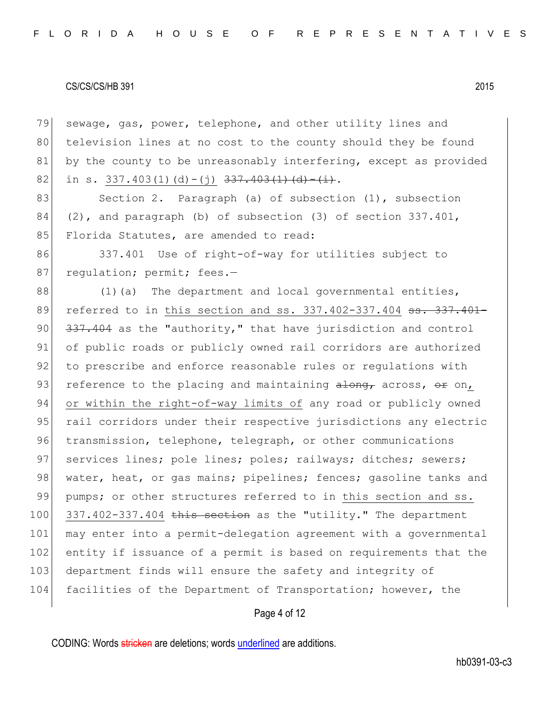79 sewage, gas, power, telephone, and other utility lines and 80 television lines at no cost to the county should they be found 81 by the county to be unreasonably interfering, except as provided 82 in s. 337.403(1)(d)-(j)  $337.403(1)(d)$ .

83 Section 2. Paragraph (a) of subsection (1), subsection 84 (2), and paragraph (b) of subsection (3) of section  $337.401$ , 85 Florida Statutes, are amended to read:

86 337.401 Use of right-of-way for utilities subject to 87 regulation; permit; fees.-

 $88$  (1)(a) The department and local governmental entities, 89 referred to in this section and ss. 337.402-337.404 <del>ss. 337.401-</del>  $90$   $337.404$  as the "authority," that have jurisdiction and control 91 of public roads or publicly owned rail corridors are authorized 92 to prescribe and enforce reasonable rules or regulations with 93 reference to the placing and maintaining  $\frac{1}{100}$  across,  $\frac{1}{100}$ 94 or within the right-of-way limits of any road or publicly owned 95 rail corridors under their respective jurisdictions any electric 96 transmission, telephone, telegraph, or other communications 97 services lines; pole lines; poles; railways; ditches; sewers; 98 water, heat, or gas mains; pipelines; fences; gasoline tanks and 99 pumps; or other structures referred to in this section and ss.  $100$  337.402-337.404 this section as the "utility." The department 101 may enter into a permit-delegation agreement with a governmental 102 entity if issuance of a permit is based on requirements that the 103 department finds will ensure the safety and integrity of 104 facilities of the Department of Transportation; however, the

# Page 4 of 12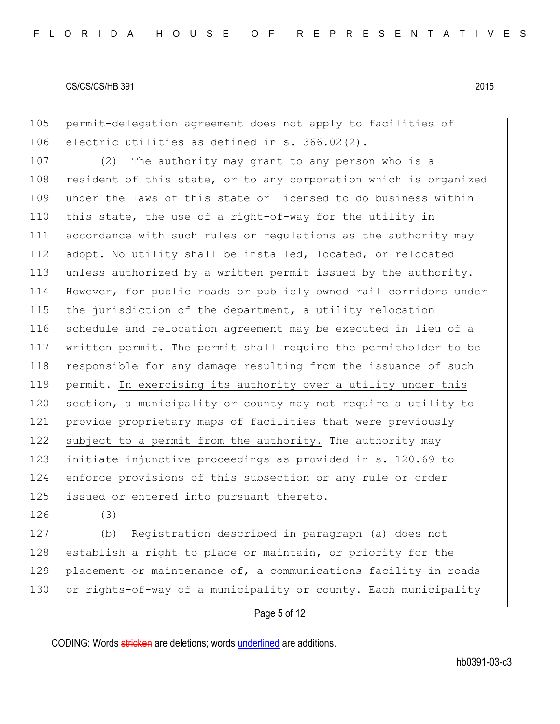105 permit-delegation agreement does not apply to facilities of 106 electric utilities as defined in s. 366.02(2).

107 (2) The authority may grant to any person who is a 108 resident of this state, or to any corporation which is organized 109 under the laws of this state or licensed to do business within 110 this state, the use of a right-of-way for the utility in 111 accordance with such rules or regulations as the authority may 112 adopt. No utility shall be installed, located, or relocated 113 unless authorized by a written permit issued by the authority. 114 However, for public roads or publicly owned rail corridors under 115 the jurisdiction of the department, a utility relocation 116 schedule and relocation agreement may be executed in lieu of a 117 written permit. The permit shall require the permitholder to be 118 responsible for any damage resulting from the issuance of such 119 permit. In exercising its authority over a utility under this 120 section, a municipality or county may not require a utility to 121 provide proprietary maps of facilities that were previously 122 subject to a permit from the authority. The authority may 123 initiate injunctive proceedings as provided in s. 120.69 to 124 enforce provisions of this subsection or any rule or order 125 issued or entered into pursuant thereto.

126 (3)

127 (b) Registration described in paragraph (a) does not 128 establish a right to place or maintain, or priority for the 129 placement or maintenance of, a communications facility in roads 130 or rights-of-way of a municipality or county. Each municipality

# Page 5 of 12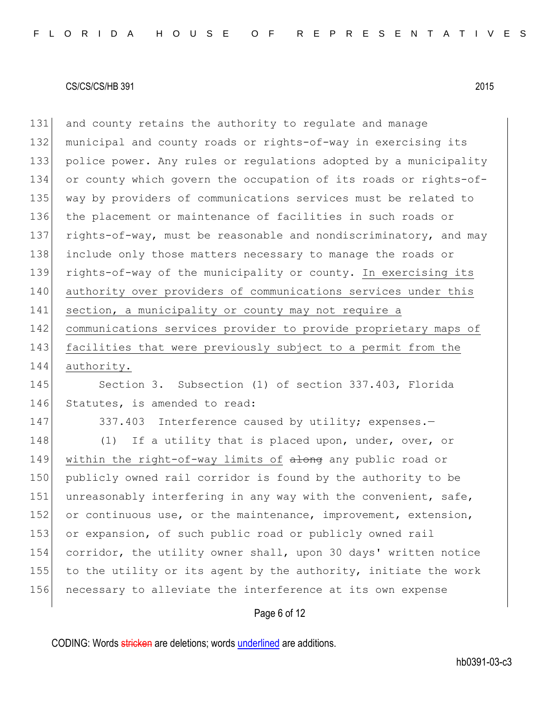and county retains the authority to regulate and manage municipal and county roads or rights-of-way in exercising its 133 police power. Any rules or regulations adopted by a municipality or county which govern the occupation of its roads or rights-of- way by providers of communications services must be related to the placement or maintenance of facilities in such roads or 137 rights-of-way, must be reasonable and nondiscriminatory, and may include only those matters necessary to manage the roads or rights-of-way of the municipality or county. In exercising its 140 authority over providers of communications services under this 141 section, a municipality or county may not require a communications services provider to provide proprietary maps of facilities that were previously subject to a permit from the authority.

145 Section 3. Subsection (1) of section 337.403, Florida 146 Statutes, is amended to read:

147 337.403 Interference caused by utility; expenses.-

148 (1) If a utility that is placed upon, under, over, or 149 within the right-of-way limits of along any public road or 150 publicly owned rail corridor is found by the authority to be 151 unreasonably interfering in any way with the convenient, safe, 152 or continuous use, or the maintenance, improvement, extension, 153 or expansion, of such public road or publicly owned rail 154 corridor, the utility owner shall, upon 30 days' written notice 155 to the utility or its agent by the authority, initiate the work 156 necessary to alleviate the interference at its own expense

# Page 6 of 12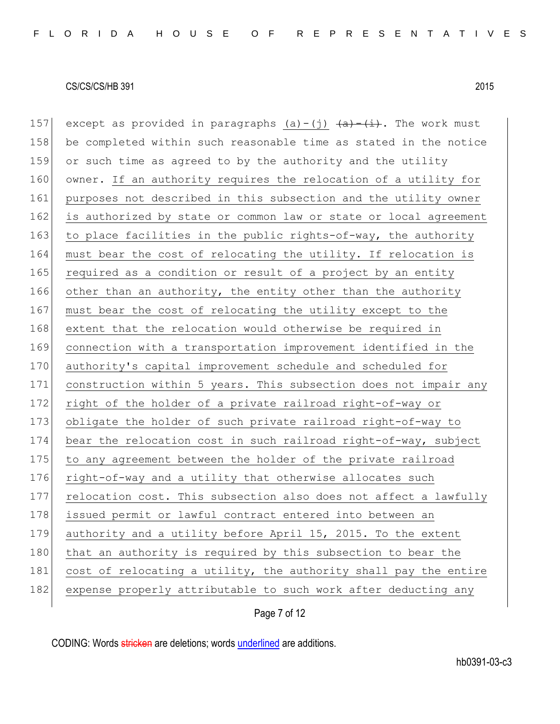157 except as provided in paragraphs (a)-(j)  $\frac{a}{a}$   $\frac{a}{b}$ . The work must 158 be completed within such reasonable time as stated in the notice 159 or such time as agreed to by the authority and the utility 160 owner. If an authority requires the relocation of a utility for 161 purposes not described in this subsection and the utility owner 162 is authorized by state or common law or state or local agreement 163 to place facilities in the public rights-of-way, the authority 164 must bear the cost of relocating the utility. If relocation is 165 required as a condition or result of a project by an entity 166 other than an authority, the entity other than the authority 167 must bear the cost of relocating the utility except to the 168 extent that the relocation would otherwise be required in 169 connection with a transportation improvement identified in the 170 authority's capital improvement schedule and scheduled for 171 construction within 5 years. This subsection does not impair any 172 right of the holder of a private railroad right-of-way or 173 obligate the holder of such private railroad right-of-way to 174 bear the relocation cost in such railroad right-of-way, subject 175 to any agreement between the holder of the private railroad 176 right-of-way and a utility that otherwise allocates such 177 relocation cost. This subsection also does not affect a lawfully 178 issued permit or lawful contract entered into between an 179 authority and a utility before April 15, 2015. To the extent 180 that an authority is required by this subsection to bear the 181 cost of relocating a utility, the authority shall pay the entire 182 expense properly attributable to such work after deducting any

Page 7 of 12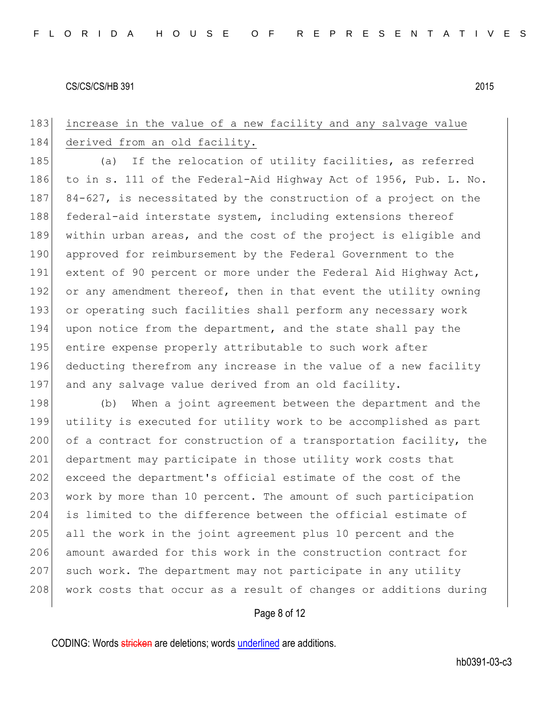# 183 increase in the value of a new facility and any salvage value 184 derived from an old facility.

185 (a) If the relocation of utility facilities, as referred 186 to in s. 111 of the Federal-Aid Highway Act of 1956, Pub. L. No. 187 84-627, is necessitated by the construction of a project on the 188 federal-aid interstate system, including extensions thereof 189 within urban areas, and the cost of the project is eligible and 190 approved for reimbursement by the Federal Government to the 191 extent of 90 percent or more under the Federal Aid Highway Act, 192 or any amendment thereof, then in that event the utility owning 193 or operating such facilities shall perform any necessary work 194 upon notice from the department, and the state shall pay the 195 entire expense properly attributable to such work after 196 deducting therefrom any increase in the value of a new facility 197 and any salvage value derived from an old facility.

198 (b) When a joint agreement between the department and the 199 utility is executed for utility work to be accomplished as part 200 of a contract for construction of a transportation facility, the 201 department may participate in those utility work costs that 202 exceed the department's official estimate of the cost of the 203 work by more than 10 percent. The amount of such participation 204 is limited to the difference between the official estimate of 205 all the work in the joint agreement plus 10 percent and the 206 amount awarded for this work in the construction contract for 207 such work. The department may not participate in any utility 208 work costs that occur as a result of changes or additions during

## Page 8 of 12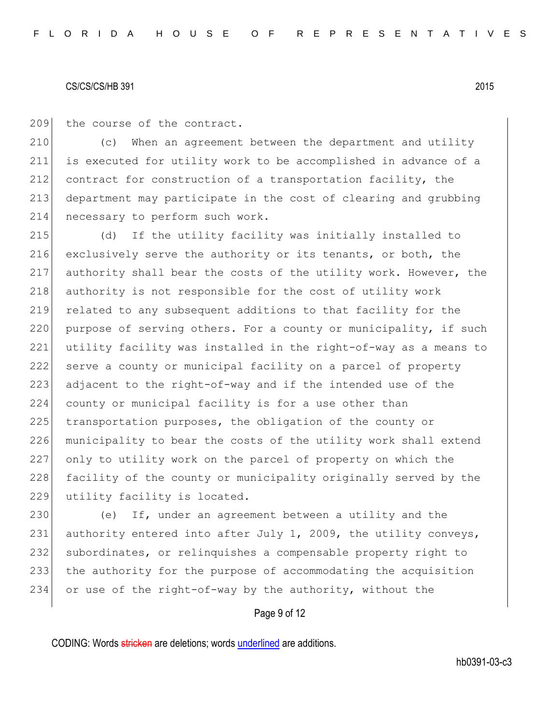209 the course of the contract.

210 (c) When an agreement between the department and utility 211 is executed for utility work to be accomplished in advance of a 212 contract for construction of a transportation facility, the 213 department may participate in the cost of clearing and grubbing 214 necessary to perform such work.

215 (d) If the utility facility was initially installed to 216 exclusively serve the authority or its tenants, or both, the 217 authority shall bear the costs of the utility work. However, the 218 authority is not responsible for the cost of utility work 219 related to any subsequent additions to that facility for the 220 purpose of serving others. For a county or municipality, if such 221 utility facility was installed in the right-of-way as a means to 222 serve a county or municipal facility on a parcel of property 223 adjacent to the right-of-way and if the intended use of the 224 county or municipal facility is for a use other than 225 transportation purposes, the obligation of the county or 226 municipality to bear the costs of the utility work shall extend 227 only to utility work on the parcel of property on which the 228 facility of the county or municipality originally served by the 229 utility facility is located.

230 (e) If, under an agreement between a utility and the 231 authority entered into after July 1, 2009, the utility conveys, 232 subordinates, or relinquishes a compensable property right to 233 the authority for the purpose of accommodating the acquisition 234 or use of the right-of-way by the authority, without the

## Page 9 of 12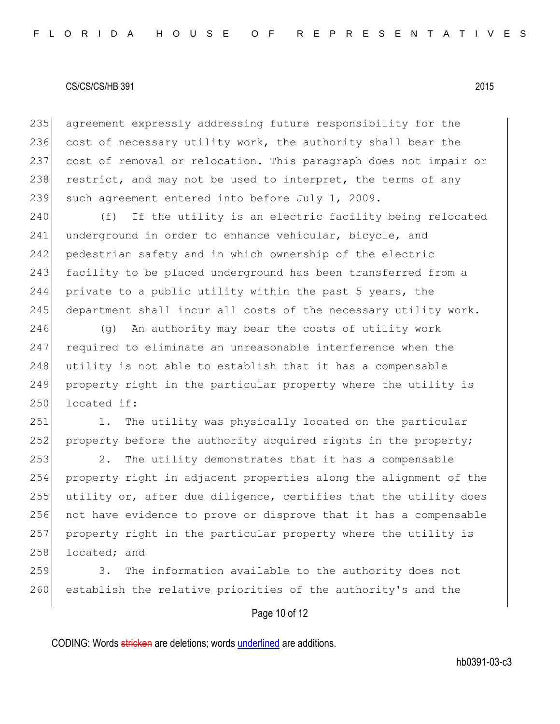235 agreement expressly addressing future responsibility for the 236 cost of necessary utility work, the authority shall bear the 237 cost of removal or relocation. This paragraph does not impair or 238 restrict, and may not be used to interpret, the terms of any 239 such agreement entered into before July 1, 2009.

240 (f) If the utility is an electric facility being relocated 241 underground in order to enhance vehicular, bicycle, and 242 pedestrian safety and in which ownership of the electric 243 facility to be placed underground has been transferred from a 244 private to a public utility within the past 5 years, the 245 department shall incur all costs of the necessary utility work.

 (g) An authority may bear the costs of utility work required to eliminate an unreasonable interference when the 248 utility is not able to establish that it has a compensable property right in the particular property where the utility is located if:

251 1. The utility was physically located on the particular 252 property before the authority acquired rights in the property;

253 2. The utility demonstrates that it has a compensable property right in adjacent properties along the alignment of the utility or, after due diligence, certifies that the utility does not have evidence to prove or disprove that it has a compensable property right in the particular property where the utility is 258 located; and

259 3. The information available to the authority does not 260 establish the relative priorities of the authority's and the

# Page 10 of 12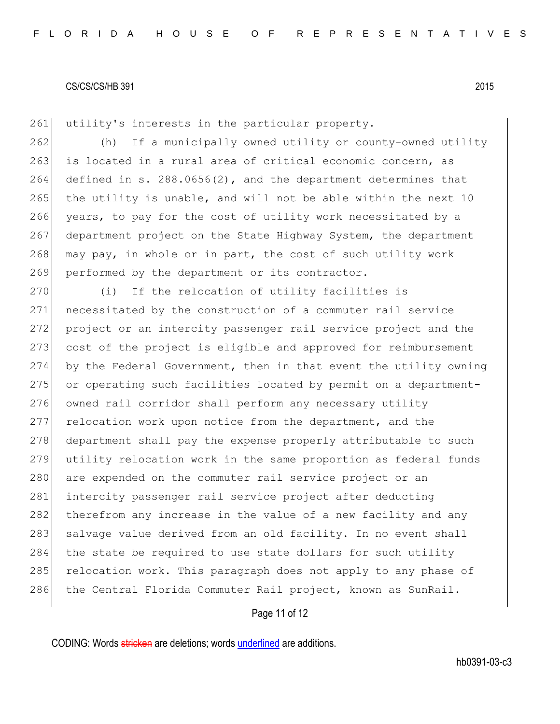261 utility's interests in the particular property.

 (h) If a municipally owned utility or county-owned utility 263 is located in a rural area of critical economic concern, as defined in s. 288.0656(2), and the department determines that the utility is unable, and will not be able within the next 10 years, to pay for the cost of utility work necessitated by a department project on the State Highway System, the department 268 may pay, in whole or in part, the cost of such utility work 269 performed by the department or its contractor.

270 (i) If the relocation of utility facilities is 271 necessitated by the construction of a commuter rail service 272 project or an intercity passenger rail service project and the 273 cost of the project is eligible and approved for reimbursement 274 by the Federal Government, then in that event the utility owning 275 or operating such facilities located by permit on a department-276 owned rail corridor shall perform any necessary utility 277 relocation work upon notice from the department, and the 278 department shall pay the expense properly attributable to such 279 utility relocation work in the same proportion as federal funds 280 are expended on the commuter rail service project or an 281 intercity passenger rail service project after deducting 282 therefrom any increase in the value of a new facility and any 283 salvage value derived from an old facility. In no event shall 284 the state be required to use state dollars for such utility 285 relocation work. This paragraph does not apply to any phase of 286 the Central Florida Commuter Rail project, known as SunRail.

# Page 11 of 12